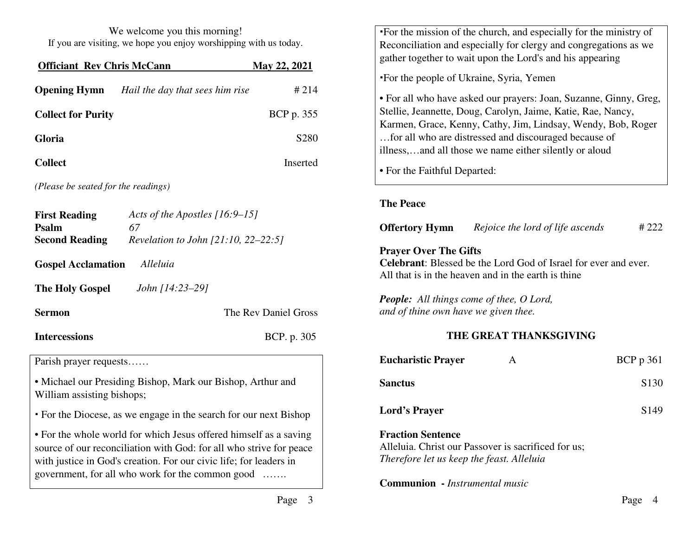We welcome you this morning! If you are visiting, we hope you enjoy worshipping with us today.

| <b>Officiant Rev Chris McCann</b>                      |                                                                             | May 22, 2021         |
|--------------------------------------------------------|-----------------------------------------------------------------------------|----------------------|
|                                                        | <b>Opening Hymn</b> Hail the day that sees him rise                         | #214                 |
| <b>Collect for Purity</b>                              |                                                                             | BCP p. 355           |
| Gloria                                                 |                                                                             | S <sub>280</sub>     |
| <b>Collect</b>                                         |                                                                             | Inserted             |
| (Please be seated for the readings)                    |                                                                             |                      |
| <b>First Reading</b><br>Psalm<br><b>Second Reading</b> | Acts of the Apostles [16:9–15]<br>67<br>Revelation to John [21:10, 22-22:5] |                      |
| <b>Gospel Acclamation</b> Alleluia                     |                                                                             |                      |
| The Holy Gospel                                        | John [14:23-29]                                                             |                      |
| <b>Sermon</b>                                          |                                                                             | The Rev Daniel Gross |
| <b>Intercessions</b>                                   |                                                                             | BCP. p. 305          |
| Parish prayer requests                                 |                                                                             |                      |
| William assisting bishops;                             | • Michael our Presiding Bishop, Mark our Bishop, Arthur and                 |                      |

For the Diocese, as we engage in the search for our next Bishop

• For the whole world for which Jesus offered himself as a saving source of our reconciliation with God: for all who strive for peace with justice in God's creation. For our civic life; for leaders in government, for all who work for the common good …….

| •For the mission of the church, and especially for the ministry of<br>Reconciliation and especially for clergy and congregations as we<br>gather together to wait upon the Lord's and his appearing                                                                                                                  |                  |  |  |  |
|----------------------------------------------------------------------------------------------------------------------------------------------------------------------------------------------------------------------------------------------------------------------------------------------------------------------|------------------|--|--|--|
| •For the people of Ukraine, Syria, Yemen                                                                                                                                                                                                                                                                             |                  |  |  |  |
| • For all who have asked our prayers: Joan, Suzanne, Ginny, Greg,<br>Stellie, Jeannette, Doug, Carolyn, Jaime, Katie, Rae, Nancy,<br>Karmen, Grace, Kenny, Cathy, Jim, Lindsay, Wendy, Bob, Roger<br>for all who are distressed and discouraged because of<br>illness,and all those we name either silently or aloud |                  |  |  |  |
| • For the Faithful Departed:                                                                                                                                                                                                                                                                                         |                  |  |  |  |
| <b>The Peace</b>                                                                                                                                                                                                                                                                                                     |                  |  |  |  |
| <b>Offertory Hymn</b> Rejoice the lord of life ascends                                                                                                                                                                                                                                                               | # 222            |  |  |  |
| <b>Prayer Over The Gifts</b><br><b>Celebrant:</b> Blessed be the Lord God of Israel for ever and ever.<br>All that is in the heaven and in the earth is thine                                                                                                                                                        |                  |  |  |  |
| <b>People:</b> All things come of thee, O Lord,<br>and of thine own have we given thee.                                                                                                                                                                                                                              |                  |  |  |  |
| THE GREAT THANKSGIVING                                                                                                                                                                                                                                                                                               |                  |  |  |  |
| <b>Eucharistic Prayer</b><br>A                                                                                                                                                                                                                                                                                       | <b>BCP</b> p 361 |  |  |  |
| <b>Sanctus</b>                                                                                                                                                                                                                                                                                                       | S <sub>130</sub> |  |  |  |
| <b>Lord's Prayer</b>                                                                                                                                                                                                                                                                                                 | S149             |  |  |  |
| <b>Fraction Sentence</b><br>Alleluia. Christ our Passover is sacrificed for us;<br>Therefore let us keep the feast. Alleluia                                                                                                                                                                                         |                  |  |  |  |
| <b>Communion</b> - <i>Instrumental music</i>                                                                                                                                                                                                                                                                         |                  |  |  |  |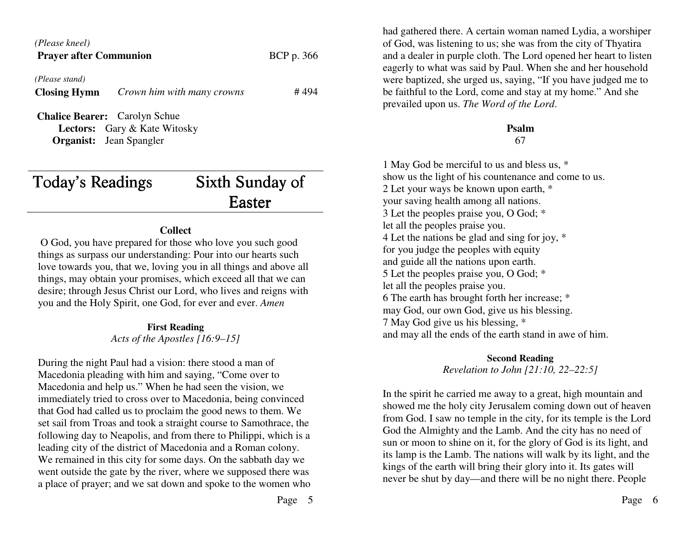| (Please kneel)<br><b>Prayer after Communion</b> |                            | <b>BCP</b> p. 366 | $\mathbf{u}$<br>of G<br>and a |
|-------------------------------------------------|----------------------------|-------------------|-------------------------------|
| (Please stand)                                  |                            |                   | eage<br>were                  |
| <b>Closing Hymn</b>                             | Crown him with many crowns | # 494             | be fa<br>prev                 |
| <b>Chalice Bearer:</b> Carolyn Schue            |                            |                   |                               |

**Lectors:** Gary & Kate Witosky **Organist:** Jean Spangler

# Today's Readingss Sixth Sunday of Easter

### **Collect**

 O God, you have prepared for those who love you such good things as surpass our understanding: Pour into our hearts such love towards you, that we, loving you in all things and above all things, may obtain your promises, which exceed all that we can desire; through Jesus Christ our Lord, who lives and reigns with you and the Holy Spirit, one God, for ever and ever. *Amen* 

### **First Reading** *Acts of the Apostles [16:9–15]*

During the night Paul had a vision: there stood a man of Macedonia pleading with him and saying, "Come over to Macedonia and help us." When he had seen the vision, we immediately tried to cross over to Macedonia, being convinced that God had called us to proclaim the good news to them. We set sail from Troas and took a straight course to Samothrace, the following day to Neapolis, and from there to Philippi, which is a leading city of the district of Macedonia and a Roman colony. We remained in this city for some days. On the sabbath day we went outside the gate by the river, where we supposed there was a place of prayer; and we sat down and spoke to the women who had gathered there. A certain woman named Lydia, a worshiper od, was listening to us; she was from the city of Thyatira and a dealer in purple cloth. The Lord opened her heart to listen erly to what was said by Paul. When she and her household were baptized, she urged us, saying, "If you have judged me to aithful to the Lord, come and stay at my home." And she ailed upon us. *The Word of the Lord*.

#### **Psalm** 67

1 May God be merciful to us and bless us, \* show us the light of his countenance and come to us. 2 Let your ways be known upon earth, \* your saving health among all nations. 3 Let the peoples praise you, O God; \* let all the peoples praise you. 4 Let the nations be glad and sing for joy, \* for you judge the peoples with equity and guide all the nations upon earth. 5 Let the peoples praise you, O God; \* let all the peoples praise you. 6 The earth has brought forth her increase; \* may God, our own God, give us his blessing. 7 May God give us his blessing, \* and may all the ends of the earth stand in awe of him.

### **Second Reading** *Revelation to John [21:10, 22–22:5]*

In the spirit he carried me away to a great, high mountain and showed me the holy city Jerusalem coming down out of heaven from God. I saw no temple in the city, for its temple is the Lord God the Almighty and the Lamb. And the city has no need of sun or moon to shine on it, for the glory of God is its light, and its lamp is the Lamb. The nations will walk by its light, and the kings of the earth will bring their glory into it. Its gates will never be shut by day—and there will be no night there. People